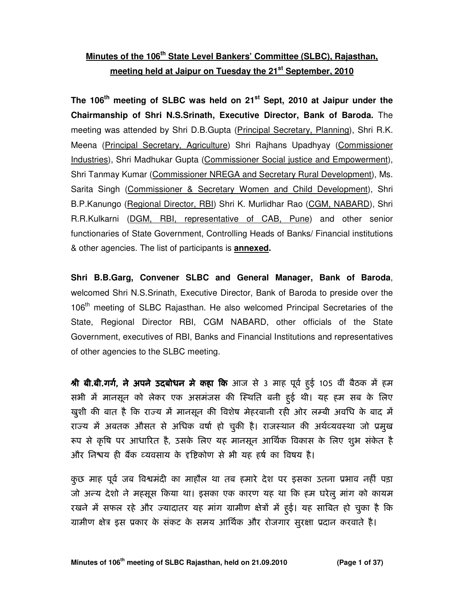# **Minutes of the 106th State Level Bankers' Committee (SLBC), Rajasthan, meeting held at Jaipur on Tuesday the 21st September, 2010**

**The 106th meeting of SLBC was held on 21st Sept, 2010 at Jaipur under the Chairmanship of Shri N.S.Srinath, Executive Director, Bank of Baroda.** The meeting was attended by Shri D.B.Gupta (Principal Secretary, Planning), Shri R.K. Meena (Principal Secretary, Agriculture) Shri Rajhans Upadhyay (Commissioner Industries), Shri Madhukar Gupta (Commissioner Social justice and Empowerment), Shri Tanmay Kumar (Commissioner NREGA and Secretary Rural Development), Ms. Sarita Singh (Commissioner & Secretary Women and Child Development), Shri B.P.Kanungo (Regional Director, RBI) Shri K. Murlidhar Rao (CGM, NABARD), Shri R.R.Kulkarni (DGM, RBI, representative of CAB, Pune) and other senior functionaries of State Government, Controlling Heads of Banks/ Financial institutions & other agencies. The list of participants is **annexed.** 

**Shri B.B.Garg, Convener SLBC and General Manager, Bank of Baroda**, welcomed Shri N.S.Srinath, Executive Director, Bank of Baroda to preside over the 106<sup>th</sup> meeting of SLBC Rajasthan. He also welcomed Principal Secretaries of the State, Regional Director RBI, CGM NABARD, other officials of the State Government, executives of RBI, Banks and Financial Institutions and representatives of other agencies to the SLBC meeting.

श्री बी.बी.गर्ग, ने अपने उदबोधन मे कहा कि आज से 3 माह पूर्व हई 105 वीं बैठक में हम सभी में मानसून को लेकर एक असमंजस की स्थिति बनी हुई थी। यह हम सब के लिए खुशी की बात है कि राज्य में मानसून की विशेष मेहरबानी रही ओर लम्बी अवधि के बाद में राज्य में अबतक औसत से अधिक वर्षा हो चुकी है। राजस्थान की अर्थव्यवस्था जो प्रमुख रूप से कृषि पर आधारित है, उसके लिए यह मानसून आर्थिक विकास के लिए शुभ संकेत है और निश्वय ही बैंक व्यवसाय के दृष्टिकोण से भी यह हर्ष का विषय है।

कुछ माह पूर्व जब विश्वमंदी का माहौल था तब हमारे देश पर इसका उतना प्रभाव नहीं पड़ा जो अन्य देशो ने महसूस किया था। इसका एक कारण यह था कि हम घरेलु मांग को कायम रखने में सफल रहे और ज्यादातर यह मांग ग्रामीण क्षेत्रों में हुई। यह साबित हो चुका है कि ग्रामीण क्षेत्र इस प्रकार के संकट के समय आर्थिक और रोजगार सुरक्षा प्रदान करवाते है।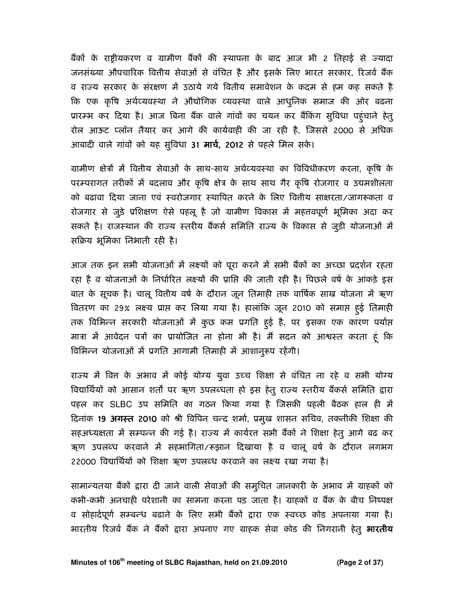बैंकों के राष्ट्रीयकरण व ग्रामीण बैंकों की स्थापना के बाद आज भी 2 तिहाई से ज्यादा जनसंख्या औपचारिक वित्तीय सेवाओं से वंचित है और इसके लिए भारत सरकार, रिजर्व बैंक व राज्य सरकार के संरक्षण में उठाये गये वितीय समावेशन के कदम से हम कह सकते है कि एक कृषि अर्थव्यवस्था ने औद्योगिक व्यवस्था वाले आधुनिक समाज की ओर बढना प्रारम्भ कर दिया है। आज बिना बैंक वाले गांवों का चयन कर बैंकिंग सुविधा पहुंचाने हेतु रोल आऊट प्लॉन तैयार कर आगे की कार्यवाही की जा रही है, जिससे 2000 से अधिक आबादी वाले गांवों को यह सुविधा 31 मार्च, 2012 से पहले मिल सके।

ग्रामीण क्षेत्रों में वितीय सेवाओं के साथ-साथ अर्थव्यवस्था का विविधीकरण करना, कृषि के परम्परागत तरीकों में बदलाव और कृषि क्षेत्र के साथ साथ गैर कृषि रोजगार व उद्यमशीलता को बढावा दिया जाना एवं स्वरोजगार स्थापित करने के लिए वित्तीय साक्षरता/जागरूकता व रोजगार से जुड़े प्रशिक्षण ऐसे पहलू है जो ग्रामीण विकास में महत्तवपूर्ण भूमिका अदा कर सकते है। राजस्थान की राज्य स्तरीय बैंकर्स समिति राज्य के विकास से जुड़ी योजनाओं में सक्रिय भूमिका निभाती रही है।

आज तक इन सभी योजनाओं में लक्ष्यों को पूरा करने में सभी बैंकों का अच्छा प्रदर्शन रहता रहा है व योजनाओं के निर्धारित लक्ष्यों की प्राप्ति की जाती रही है। पिछले वर्ष के आंकड़े इस बात के सूचक है। चालू वितीय वर्ष के दौरान जून तिमाही तक वार्षिक साख योजना में ऋण वितरण का 29% लक्ष्य प्राप्त कर लिया गया है। हालांकि जून 2010 को समाप्त हुई तिमाही तक विभिन्न सरकारी योजनाओं में कुछ कम प्रगति हुई है, पर इसका एक कारण पर्याप्त मात्रा में आवेदन पत्रों का प्रायोजित ना होना भी है। मैं सदन को आश्वस्त करता हूं कि विभिन्न योजनाओं में प्रगति आगामी तिमाही में आशानुरूप रहेंगी।

राज्य में वित्त के अभाव में कोई योग्य युवा उच्च शिक्षा से वंचित ना रहे व सभी योग्य विद्यार्थियों को आसान शर्तों पर ऋण उपलब्धता हो इस हेतु राज्य स्तरीय बैंकर्स समिति द्वारा पहल कर SLBC उप समिति का गठन किया गया है जिसकी पहली बैठक हाल ही में दिनांक 19 अगस्त 2010 को श्री विपिन चन्द शर्मा, प्रमुख शासन सचिव, तकनीकी शिक्षा की सहअध्यक्षता में सम्पन्न की गई है। राज्य में कार्यरत सभी बैंकों ने शिक्षा हेतु आगे बढ कर ऋण उपलब्ध करवाने में सहभागिता/रूझान दिखाया है व चालू वर्ष के दौरान लगभग 22000 विद्यार्थियों को शिक्षा ऋण उपलब्ध करवाने का लक्ष्य रखा गया है।

सामान्यतया बैंकों द्वारा दी जाने वाली सेवाओं की समुचित जानकारी के अभाव में ग्राहकों को कभी-कभी अनचाही परेशानी का सामना करना पड़ जाता है। ग्राहकों व बैंक के बीच निष्पक्ष व सोहार्दपूर्ण सम्बन्ध बढाने के लिए सभी बैंकों द्वारा एक स्वच्छ कोड अपनाया गया है। भारतीय रिजर्व बैंक ने बैंकों द्वारा अपनाए गए ग्राहक सेवा कोड की निगरानी हेतु **भारतीय**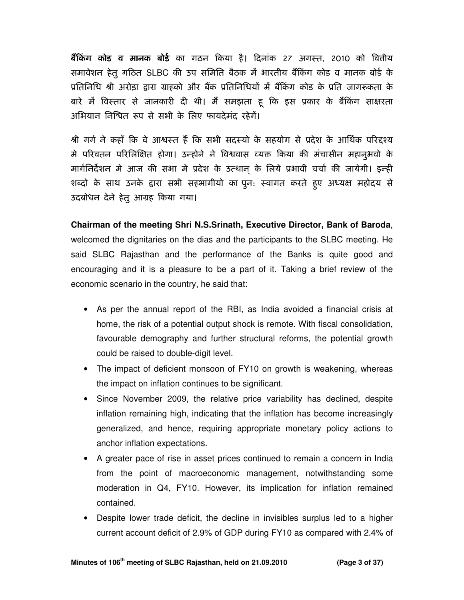**बैंकिंग कोड व मानक बोर्ड** का गठन किया है। दिनांक 27 अगस्त, 2010 को वितीय समावेशन हेतु गठित SLBC की उप समिति बैठक में भारतीय बैंकिंग कोड व मानक बोर्ड के प्रतिनिधि श्री अरोड़ा द्वारा ग्राहको और बैंक प्रतिनिधियों में बैंकिंग कोड के प्रति जागरूकता के बारे में विस्तार से जानकारी दी थी। मैं समझता हू कि इस प्रकार के बैंकिंग साक्षरता अभियान निश्चित रूप से सभी के लिए फायदेमंद रहेगें।

श्री गर्ग ने कहाँ कि वे आश्वस्त हैं कि सभी सदस्यो के सहयोग से प्रदेश के आर्थिक परिद्दश्य मे परिवतन परिलिक्षित होगा। उन्होने ने विश्ववास व्यक्त किया की मंचासीन महानुभवो के मार्गनिर्देशन मे आज की सभा मे प्रदेश के उत्थान के लिये प्रभावी चर्चा की जायेगी। इन्ही शब्दो के साथ उनके द्वारा सभी सहभागीयो का पुन: स्वागत करते हुए अध्यक्ष महोदय से उदबोधन देने हेतु आमह कया गया।

**Chairman of the meeting Shri N.S.Srinath, Executive Director, Bank of Baroda**, welcomed the dignitaries on the dias and the participants to the SLBC meeting. He said SLBC Rajasthan and the performance of the Banks is quite good and encouraging and it is a pleasure to be a part of it. Taking a brief review of the economic scenario in the country, he said that:

- As per the annual report of the RBI, as India avoided a financial crisis at home, the risk of a potential output shock is remote. With fiscal consolidation, favourable demography and further structural reforms, the potential growth could be raised to double-digit level.
- The impact of deficient monsoon of FY10 on growth is weakening, whereas the impact on inflation continues to be significant.
- Since November 2009, the relative price variability has declined, despite inflation remaining high, indicating that the inflation has become increasingly generalized, and hence, requiring appropriate monetary policy actions to anchor inflation expectations.
- A greater pace of rise in asset prices continued to remain a concern in India from the point of macroeconomic management, notwithstanding some moderation in Q4, FY10. However, its implication for inflation remained contained.
- Despite lower trade deficit, the decline in invisibles surplus led to a higher current account deficit of 2.9% of GDP during FY10 as compared with 2.4% of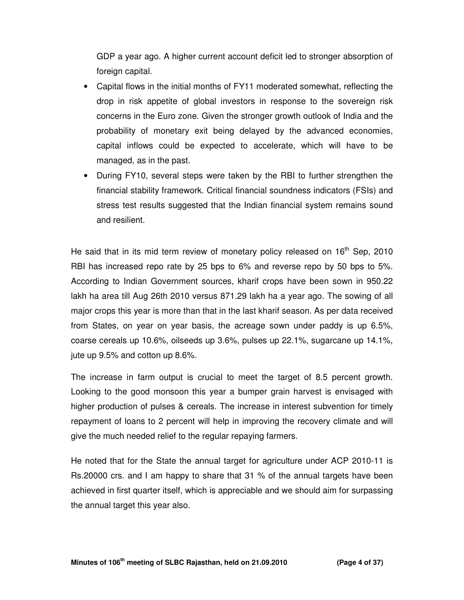GDP a year ago. A higher current account deficit led to stronger absorption of foreign capital.

- Capital flows in the initial months of FY11 moderated somewhat, reflecting the drop in risk appetite of global investors in response to the sovereign risk concerns in the Euro zone. Given the stronger growth outlook of India and the probability of monetary exit being delayed by the advanced economies, capital inflows could be expected to accelerate, which will have to be managed, as in the past.
- During FY10, several steps were taken by the RBI to further strengthen the financial stability framework. Critical financial soundness indicators (FSIs) and stress test results suggested that the Indian financial system remains sound and resilient.

He said that in its mid term review of monetary policy released on  $16<sup>th</sup>$  Sep, 2010 RBI has increased repo rate by 25 bps to 6% and reverse repo by 50 bps to 5%. According to Indian Government sources, kharif crops have been sown in 950.22 lakh ha area till Aug 26th 2010 versus 871.29 lakh ha a year ago. The sowing of all major crops this year is more than that in the last kharif season. As per data received from States, on year on year basis, the acreage sown under paddy is up 6.5%, coarse cereals up 10.6%, oilseeds up 3.6%, pulses up 22.1%, sugarcane up 14.1%, jute up 9.5% and cotton up 8.6%.

The increase in farm output is crucial to meet the target of 8.5 percent growth. Looking to the good monsoon this year a bumper grain harvest is envisaged with higher production of pulses & cereals. The increase in interest subvention for timely repayment of loans to 2 percent will help in improving the recovery climate and will give the much needed relief to the regular repaying farmers.

He noted that for the State the annual target for agriculture under ACP 2010-11 is Rs.20000 crs. and I am happy to share that 31 % of the annual targets have been achieved in first quarter itself, which is appreciable and we should aim for surpassing the annual target this year also.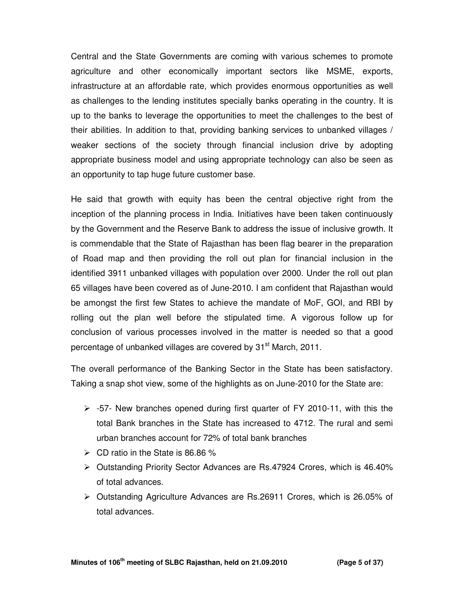Central and the State Governments are coming with various schemes to promote agriculture and other economically important sectors like MSME, exports, infrastructure at an affordable rate, which provides enormous opportunities as well as challenges to the lending institutes specially banks operating in the country. It is up to the banks to leverage the opportunities to meet the challenges to the best of their abilities. In addition to that, providing banking services to unbanked villages / weaker sections of the society through financial inclusion drive by adopting appropriate business model and using appropriate technology can also be seen as an opportunity to tap huge future customer base.

He said that growth with equity has been the central objective right from the inception of the planning process in India. Initiatives have been taken continuously by the Government and the Reserve Bank to address the issue of inclusive growth. It is commendable that the State of Rajasthan has been flag bearer in the preparation of Road map and then providing the roll out plan for financial inclusion in the identified 3911 unbanked villages with population over 2000. Under the roll out plan 65 villages have been covered as of June-2010. I am confident that Rajasthan would be amongst the first few States to achieve the mandate of MoF, GOI, and RBI by rolling out the plan well before the stipulated time. A vigorous follow up for conclusion of various processes involved in the matter is needed so that a good percentage of unbanked villages are covered by 31<sup>st</sup> March, 2011.

The overall performance of the Banking Sector in the State has been satisfactory. Taking a snap shot view, some of the highlights as on June-2010 for the State are:

- $\ge$  -57- New branches opened during first quarter of FY 2010-11, with this the total Bank branches in the State has increased to 4712. The rural and semi urban branches account for 72% of total bank branches
- $\triangleright$  CD ratio in the State is 86.86 %
- Outstanding Priority Sector Advances are Rs.47924 Crores, which is 46.40% of total advances.
- $\triangleright$  Outstanding Agriculture Advances are Rs. 26911 Crores, which is 26.05% of total advances.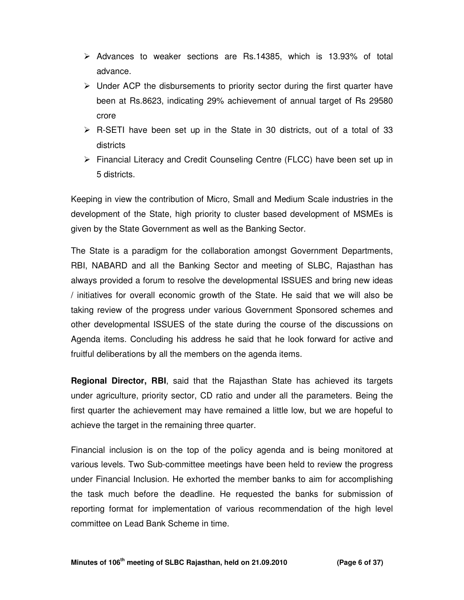- $\triangleright$  Advances to weaker sections are Rs.14385, which is 13.93% of total advance.
- $\triangleright$  Under ACP the disbursements to priority sector during the first quarter have been at Rs.8623, indicating 29% achievement of annual target of Rs 29580 crore
- $\triangleright$  R-SETI have been set up in the State in 30 districts, out of a total of 33 districts
- Financial Literacy and Credit Counseling Centre (FLCC) have been set up in 5 districts.

Keeping in view the contribution of Micro, Small and Medium Scale industries in the development of the State, high priority to cluster based development of MSMEs is given by the State Government as well as the Banking Sector.

The State is a paradigm for the collaboration amongst Government Departments, RBI, NABARD and all the Banking Sector and meeting of SLBC, Rajasthan has always provided a forum to resolve the developmental ISSUES and bring new ideas / initiatives for overall economic growth of the State. He said that we will also be taking review of the progress under various Government Sponsored schemes and other developmental ISSUES of the state during the course of the discussions on Agenda items. Concluding his address he said that he look forward for active and fruitful deliberations by all the members on the agenda items.

**Regional Director, RBI**, said that the Rajasthan State has achieved its targets under agriculture, priority sector, CD ratio and under all the parameters. Being the first quarter the achievement may have remained a little low, but we are hopeful to achieve the target in the remaining three quarter.

Financial inclusion is on the top of the policy agenda and is being monitored at various levels. Two Sub-committee meetings have been held to review the progress under Financial Inclusion. He exhorted the member banks to aim for accomplishing the task much before the deadline. He requested the banks for submission of reporting format for implementation of various recommendation of the high level committee on Lead Bank Scheme in time.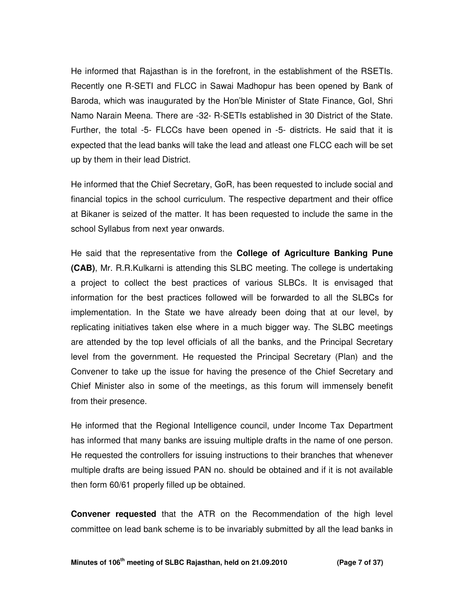He informed that Rajasthan is in the forefront, in the establishment of the RSETIs. Recently one R-SETI and FLCC in Sawai Madhopur has been opened by Bank of Baroda, which was inaugurated by the Hon'ble Minister of State Finance, GoI, Shri Namo Narain Meena. There are -32- R-SETIs established in 30 District of the State. Further, the total -5- FLCCs have been opened in -5- districts. He said that it is expected that the lead banks will take the lead and atleast one FLCC each will be set up by them in their lead District.

He informed that the Chief Secretary, GoR, has been requested to include social and financial topics in the school curriculum. The respective department and their office at Bikaner is seized of the matter. It has been requested to include the same in the school Syllabus from next year onwards.

He said that the representative from the **College of Agriculture Banking Pune (CAB)**, Mr. R.R.Kulkarni is attending this SLBC meeting. The college is undertaking a project to collect the best practices of various SLBCs. It is envisaged that information for the best practices followed will be forwarded to all the SLBCs for implementation. In the State we have already been doing that at our level, by replicating initiatives taken else where in a much bigger way. The SLBC meetings are attended by the top level officials of all the banks, and the Principal Secretary level from the government. He requested the Principal Secretary (Plan) and the Convener to take up the issue for having the presence of the Chief Secretary and Chief Minister also in some of the meetings, as this forum will immensely benefit from their presence.

He informed that the Regional Intelligence council, under Income Tax Department has informed that many banks are issuing multiple drafts in the name of one person. He requested the controllers for issuing instructions to their branches that whenever multiple drafts are being issued PAN no. should be obtained and if it is not available then form 60/61 properly filled up be obtained.

**Convener requested** that the ATR on the Recommendation of the high level committee on lead bank scheme is to be invariably submitted by all the lead banks in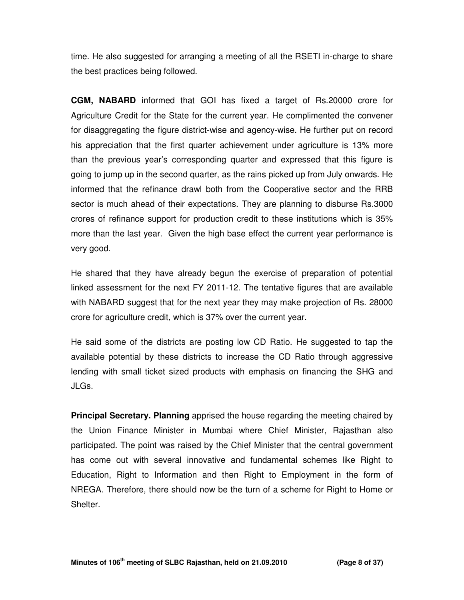time. He also suggested for arranging a meeting of all the RSETI in-charge to share the best practices being followed.

**CGM, NABARD** informed that GOI has fixed a target of Rs.20000 crore for Agriculture Credit for the State for the current year. He complimented the convener for disaggregating the figure district-wise and agency-wise. He further put on record his appreciation that the first quarter achievement under agriculture is 13% more than the previous year's corresponding quarter and expressed that this figure is going to jump up in the second quarter, as the rains picked up from July onwards. He informed that the refinance drawl both from the Cooperative sector and the RRB sector is much ahead of their expectations. They are planning to disburse Rs.3000 crores of refinance support for production credit to these institutions which is 35% more than the last year. Given the high base effect the current year performance is very good.

He shared that they have already begun the exercise of preparation of potential linked assessment for the next FY 2011-12. The tentative figures that are available with NABARD suggest that for the next year they may make projection of Rs. 28000 crore for agriculture credit, which is 37% over the current year.

He said some of the districts are posting low CD Ratio. He suggested to tap the available potential by these districts to increase the CD Ratio through aggressive lending with small ticket sized products with emphasis on financing the SHG and JLGs.

**Principal Secretary. Planning** apprised the house regarding the meeting chaired by the Union Finance Minister in Mumbai where Chief Minister, Rajasthan also participated. The point was raised by the Chief Minister that the central government has come out with several innovative and fundamental schemes like Right to Education, Right to Information and then Right to Employment in the form of NREGA. Therefore, there should now be the turn of a scheme for Right to Home or Shelter.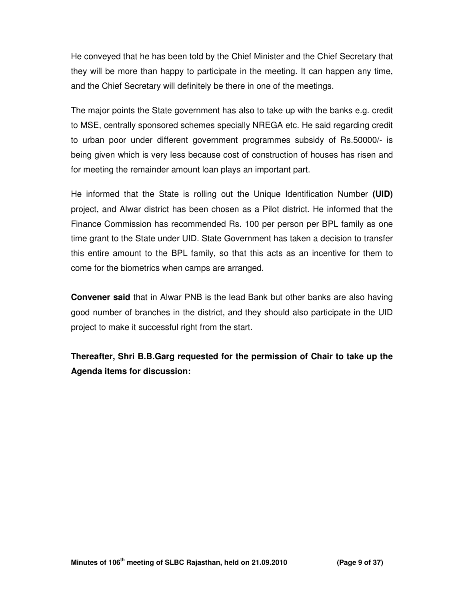He conveyed that he has been told by the Chief Minister and the Chief Secretary that they will be more than happy to participate in the meeting. It can happen any time, and the Chief Secretary will definitely be there in one of the meetings.

The major points the State government has also to take up with the banks e.g. credit to MSE, centrally sponsored schemes specially NREGA etc. He said regarding credit to urban poor under different government programmes subsidy of Rs.50000/- is being given which is very less because cost of construction of houses has risen and for meeting the remainder amount loan plays an important part.

He informed that the State is rolling out the Unique Identification Number **(UID)**  project, and Alwar district has been chosen as a Pilot district. He informed that the Finance Commission has recommended Rs. 100 per person per BPL family as one time grant to the State under UID. State Government has taken a decision to transfer this entire amount to the BPL family, so that this acts as an incentive for them to come for the biometrics when camps are arranged.

**Convener said** that in Alwar PNB is the lead Bank but other banks are also having good number of branches in the district, and they should also participate in the UID project to make it successful right from the start.

**Thereafter, Shri B.B.Garg requested for the permission of Chair to take up the Agenda items for discussion:**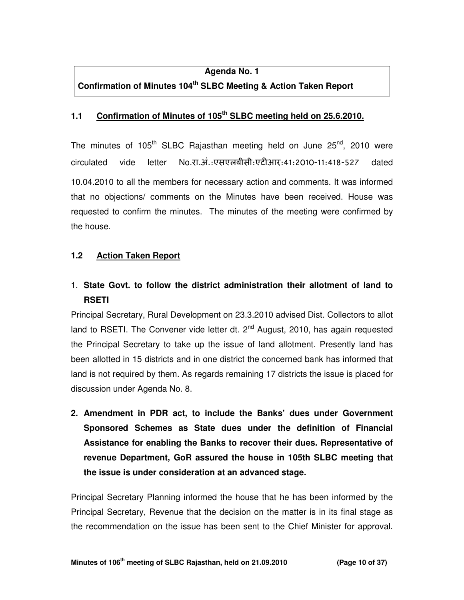#### **Agenda No. 1**

# **Confirmation of Minutes 104th SLBC Meeting & Action Taken Report**

#### **1.1 Confirmation of Minutes of 105th SLBC meeting held on 25.6.2010.**

The minutes of  $105<sup>th</sup>$  SLBC Rajasthan meeting held on June  $25<sup>nd</sup>$ , 2010 were circulated vide letter No.रा.अं.:एसएलबीसी:एटीआर:41:2010-11:418-527 dated 10.04.2010 to all the members for necessary action and comments. It was informed that no objections/ comments on the Minutes have been received. House was requested to confirm the minutes. The minutes of the meeting were confirmed by the house.

### **1.2 Action Taken Report**

# 1. **State Govt. to follow the district administration their allotment of land to RSETI**

Principal Secretary, Rural Development on 23.3.2010 advised Dist. Collectors to allot land to RSETI. The Convener vide letter dt.  $2^{nd}$  August, 2010, has again requested the Principal Secretary to take up the issue of land allotment. Presently land has been allotted in 15 districts and in one district the concerned bank has informed that land is not required by them. As regards remaining 17 districts the issue is placed for discussion under Agenda No. 8.

**2. Amendment in PDR act, to include the Banks' dues under Government Sponsored Schemes as State dues under the definition of Financial Assistance for enabling the Banks to recover their dues. Representative of revenue Department, GoR assured the house in 105th SLBC meeting that the issue is under consideration at an advanced stage.** 

Principal Secretary Planning informed the house that he has been informed by the Principal Secretary, Revenue that the decision on the matter is in its final stage as the recommendation on the issue has been sent to the Chief Minister for approval.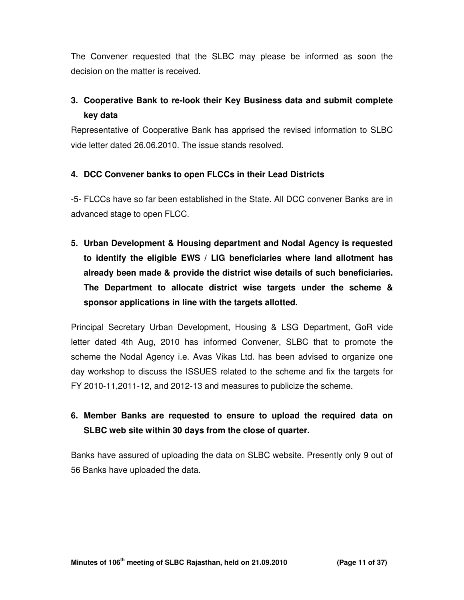The Convener requested that the SLBC may please be informed as soon the decision on the matter is received.

# **3. Cooperative Bank to re-look their Key Business data and submit complete key data**

Representative of Cooperative Bank has apprised the revised information to SLBC vide letter dated 26.06.2010. The issue stands resolved.

## **4. DCC Convener banks to open FLCCs in their Lead Districts**

-5- FLCCs have so far been established in the State. All DCC convener Banks are in advanced stage to open FLCC.

**5. Urban Development & Housing department and Nodal Agency is requested to identify the eligible EWS / LIG beneficiaries where land allotment has already been made & provide the district wise details of such beneficiaries. The Department to allocate district wise targets under the scheme & sponsor applications in line with the targets allotted.** 

Principal Secretary Urban Development, Housing & LSG Department, GoR vide letter dated 4th Aug, 2010 has informed Convener, SLBC that to promote the scheme the Nodal Agency i.e. Avas Vikas Ltd. has been advised to organize one day workshop to discuss the ISSUES related to the scheme and fix the targets for FY 2010-11,2011-12, and 2012-13 and measures to publicize the scheme.

# **6. Member Banks are requested to ensure to upload the required data on SLBC web site within 30 days from the close of quarter.**

Banks have assured of uploading the data on SLBC website. Presently only 9 out of 56 Banks have uploaded the data.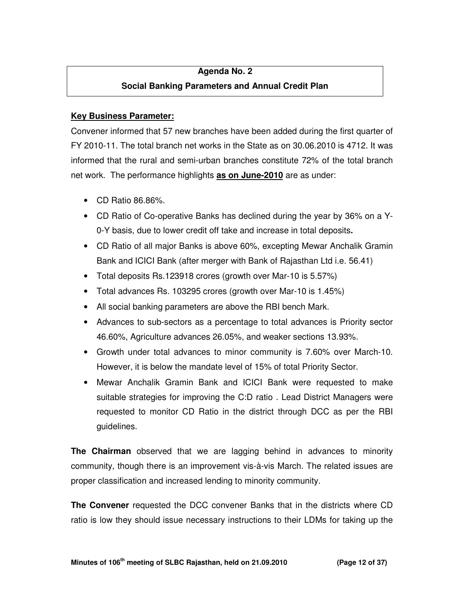## **Agenda No. 2**

# **Social Banking Parameters and Annual Credit Plan**

## **Key Business Parameter:**

Convener informed that 57 new branches have been added during the first quarter of FY 2010-11. The total branch net works in the State as on 30.06.2010 is 4712. It was informed that the rural and semi-urban branches constitute 72% of the total branch net work. The performance highlights **as on June-2010** are as under:

- CD Ratio 86.86%.
- CD Ratio of Co-operative Banks has declined during the year by 36% on a Y-0-Y basis, due to lower credit off take and increase in total deposits**.**
- CD Ratio of all major Banks is above 60%, excepting Mewar Anchalik Gramin Bank and ICICI Bank (after merger with Bank of Rajasthan Ltd i.e. 56.41)
- Total deposits Rs.123918 crores (growth over Mar-10 is 5.57%)
- Total advances Rs. 103295 crores (growth over Mar-10 is 1.45%)
- All social banking parameters are above the RBI bench Mark.
- Advances to sub-sectors as a percentage to total advances is Priority sector 46.60%, Agriculture advances 26.05%, and weaker sections 13.93%.
- Growth under total advances to minor community is 7.60% over March-10. However, it is below the mandate level of 15% of total Priority Sector.
- Mewar Anchalik Gramin Bank and ICICI Bank were requested to make suitable strategies for improving the C:D ratio . Lead District Managers were requested to monitor CD Ratio in the district through DCC as per the RBI guidelines.

**The Chairman** observed that we are lagging behind in advances to minority community, though there is an improvement vis-à-vis March. The related issues are proper classification and increased lending to minority community.

**The Convener** requested the DCC convener Banks that in the districts where CD ratio is low they should issue necessary instructions to their LDMs for taking up the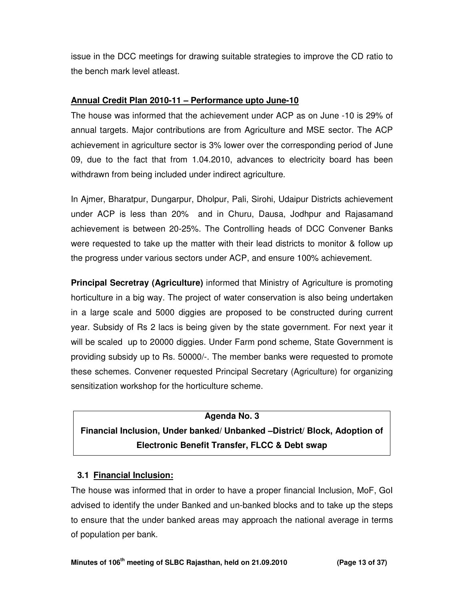issue in the DCC meetings for drawing suitable strategies to improve the CD ratio to the bench mark level atleast.

## **Annual Credit Plan 2010-11 – Performance upto June-10**

The house was informed that the achievement under ACP as on June -10 is 29% of annual targets. Major contributions are from Agriculture and MSE sector. The ACP achievement in agriculture sector is 3% lower over the corresponding period of June 09, due to the fact that from 1.04.2010, advances to electricity board has been withdrawn from being included under indirect agriculture.

In Ajmer, Bharatpur, Dungarpur, Dholpur, Pali, Sirohi, Udaipur Districts achievement under ACP is less than 20% and in Churu, Dausa, Jodhpur and Rajasamand achievement is between 20-25%. The Controlling heads of DCC Convener Banks were requested to take up the matter with their lead districts to monitor & follow up the progress under various sectors under ACP, and ensure 100% achievement.

**Principal Secretray (Agriculture)** informed that Ministry of Agriculture is promoting horticulture in a big way. The project of water conservation is also being undertaken in a large scale and 5000 diggies are proposed to be constructed during current year. Subsidy of Rs 2 lacs is being given by the state government. For next year it will be scaled up to 20000 diggies. Under Farm pond scheme, State Government is providing subsidy up to Rs. 50000/-. The member banks were requested to promote these schemes. Convener requested Principal Secretary (Agriculture) for organizing sensitization workshop for the horticulture scheme.

# **Agenda No. 3 Financial Inclusion, Under banked/ Unbanked –District/ Block, Adoption of Electronic Benefit Transfer, FLCC & Debt swap**

## **3.1 Financial Inclusion:**

The house was informed that in order to have a proper financial Inclusion, MoF, GoI advised to identify the under Banked and un-banked blocks and to take up the steps to ensure that the under banked areas may approach the national average in terms of population per bank.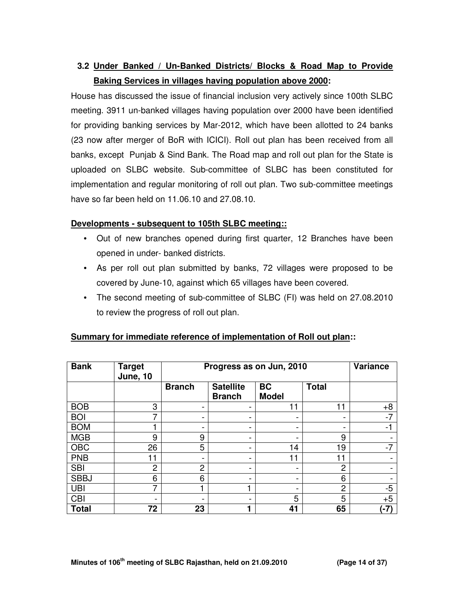# **3.2 Under Banked / Un-Banked Districts/ Blocks & Road Map to Provide Baking Services in villages having population above 2000:**

House has discussed the issue of financial inclusion very actively since 100th SLBC meeting. 3911 un-banked villages having population over 2000 have been identified for providing banking services by Mar-2012, which have been allotted to 24 banks (23 now after merger of BoR with ICICI). Roll out plan has been received from all banks, except Punjab & Sind Bank. The Road map and roll out plan for the State is uploaded on SLBC website. Sub-committee of SLBC has been constituted for implementation and regular monitoring of roll out plan. Two sub-committee meetings have so far been held on 11.06.10 and 27.08.10.

#### **Developments - subsequent to 105th SLBC meeting::**

- Out of new branches opened during first quarter, 12 Branches have been opened in under- banked districts.
- As per roll out plan submitted by banks, 72 villages were proposed to be covered by June-10, against which 65 villages have been covered.
- The second meeting of sub-committee of SLBC (FI) was held on 27.08.2010 to review the progress of roll out plan.

| <b>Bank</b>  | <b>Target</b><br><b>June, 10</b> | Progress as on Jun, 2010 | <b>Variance</b>                   |                           |                |      |
|--------------|----------------------------------|--------------------------|-----------------------------------|---------------------------|----------------|------|
|              |                                  | <b>Branch</b>            | <b>Satellite</b><br><b>Branch</b> | <b>BC</b><br><b>Model</b> | <b>Total</b>   |      |
| <b>BOB</b>   | 3                                |                          | $\overline{\phantom{0}}$          |                           | 11             | $+8$ |
| <b>BOI</b>   | ⇁                                |                          | -                                 |                           |                | $-7$ |
| <b>BOM</b>   |                                  |                          | -                                 |                           |                | $-1$ |
| <b>MGB</b>   | 9                                | 9                        | -                                 |                           | 9              |      |
| <b>OBC</b>   | 26                               | 5                        | $\overline{\phantom{0}}$          | 14                        | 19             | $-7$ |
| <b>PNB</b>   | 11                               |                          |                                   | 11                        | 11             |      |
| <b>SBI</b>   | $\overline{2}$                   | $\overline{2}$           | -                                 |                           | $\overline{2}$ |      |
| <b>SBBJ</b>  | 6                                | 6                        | -                                 | -                         | 6              |      |
| <b>UBI</b>   | ⇁                                |                          |                                   |                           | $\overline{2}$ | $-5$ |
| <b>CBI</b>   | $\overline{\phantom{0}}$         |                          | -                                 | 5                         | 5              | $+5$ |
| <b>Total</b> | 72                               | 23                       |                                   | 41                        | 65             | (-7) |

## **Summary for immediate reference of implementation of Roll out plan::**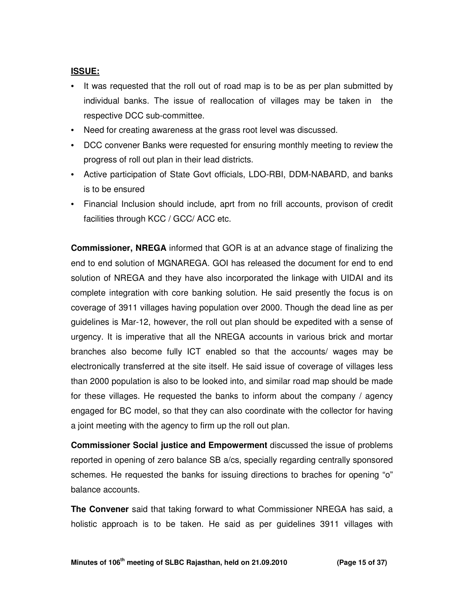#### **ISSUE:**

- It was requested that the roll out of road map is to be as per plan submitted by individual banks. The issue of reallocation of villages may be taken in the respective DCC sub-committee.
- Need for creating awareness at the grass root level was discussed.
- DCC convener Banks were requested for ensuring monthly meeting to review the progress of roll out plan in their lead districts.
- Active participation of State Govt officials, LDO-RBI, DDM-NABARD, and banks is to be ensured
- Financial Inclusion should include, aprt from no frill accounts, provison of credit facilities through KCC / GCC/ ACC etc.

**Commissioner, NREGA** informed that GOR is at an advance stage of finalizing the end to end solution of MGNAREGA. GOI has released the document for end to end solution of NREGA and they have also incorporated the linkage with UIDAI and its complete integration with core banking solution. He said presently the focus is on coverage of 3911 villages having population over 2000. Though the dead line as per guidelines is Mar-12, however, the roll out plan should be expedited with a sense of urgency. It is imperative that all the NREGA accounts in various brick and mortar branches also become fully ICT enabled so that the accounts/ wages may be electronically transferred at the site itself. He said issue of coverage of villages less than 2000 population is also to be looked into, and similar road map should be made for these villages. He requested the banks to inform about the company / agency engaged for BC model, so that they can also coordinate with the collector for having a joint meeting with the agency to firm up the roll out plan.

**Commissioner Social justice and Empowerment** discussed the issue of problems reported in opening of zero balance SB a/cs, specially regarding centrally sponsored schemes. He requested the banks for issuing directions to braches for opening "o" balance accounts.

**The Convener** said that taking forward to what Commissioner NREGA has said, a holistic approach is to be taken. He said as per guidelines 3911 villages with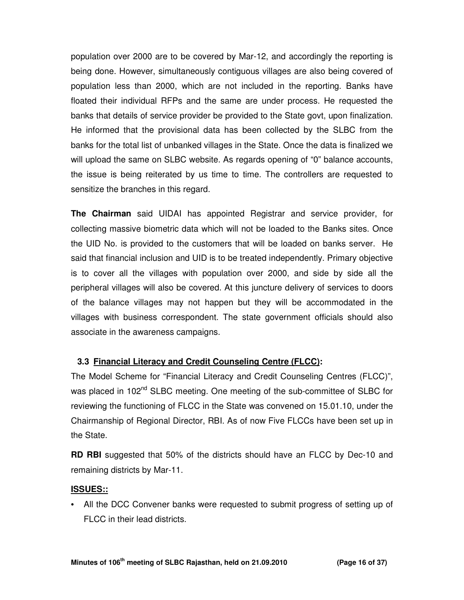population over 2000 are to be covered by Mar-12, and accordingly the reporting is being done. However, simultaneously contiguous villages are also being covered of population less than 2000, which are not included in the reporting. Banks have floated their individual RFPs and the same are under process. He requested the banks that details of service provider be provided to the State govt, upon finalization. He informed that the provisional data has been collected by the SLBC from the banks for the total list of unbanked villages in the State. Once the data is finalized we will upload the same on SLBC website. As regards opening of "0" balance accounts, the issue is being reiterated by us time to time. The controllers are requested to sensitize the branches in this regard.

**The Chairman** said UIDAI has appointed Registrar and service provider, for collecting massive biometric data which will not be loaded to the Banks sites. Once the UID No. is provided to the customers that will be loaded on banks server. He said that financial inclusion and UID is to be treated independently. Primary objective is to cover all the villages with population over 2000, and side by side all the peripheral villages will also be covered. At this juncture delivery of services to doors of the balance villages may not happen but they will be accommodated in the villages with business correspondent. The state government officials should also associate in the awareness campaigns.

## **3.3 Financial Literacy and Credit Counseling Centre (FLCC):**

The Model Scheme for "Financial Literacy and Credit Counseling Centres (FLCC)", was placed in 102<sup>nd</sup> SLBC meeting. One meeting of the sub-committee of SLBC for reviewing the functioning of FLCC in the State was convened on 15.01.10, under the Chairmanship of Regional Director, RBI. As of now Five FLCCs have been set up in the State.

**RD RBI** suggested that 50% of the districts should have an FLCC by Dec-10 and remaining districts by Mar-11.

#### **ISSUES::**

• All the DCC Convener banks were requested to submit progress of setting up of FLCC in their lead districts.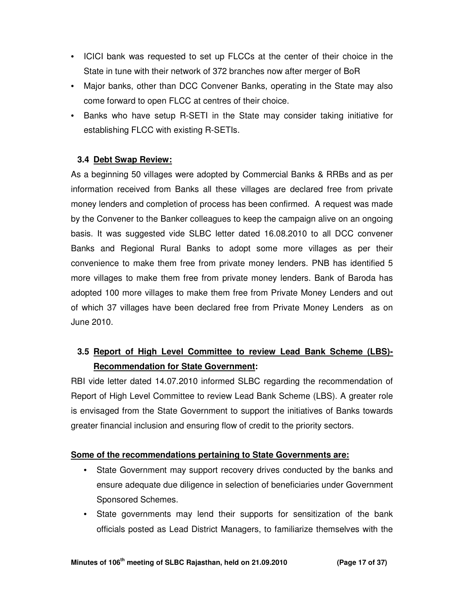- ICICI bank was requested to set up FLCCs at the center of their choice in the State in tune with their network of 372 branches now after merger of BoR
- Major banks, other than DCC Convener Banks, operating in the State may also come forward to open FLCC at centres of their choice.
- Banks who have setup R-SETI in the State may consider taking initiative for establishing FLCC with existing R-SETIs.

## **3.4 Debt Swap Review:**

As a beginning 50 villages were adopted by Commercial Banks & RRBs and as per information received from Banks all these villages are declared free from private money lenders and completion of process has been confirmed. A request was made by the Convener to the Banker colleagues to keep the campaign alive on an ongoing basis. It was suggested vide SLBC letter dated 16.08.2010 to all DCC convener Banks and Regional Rural Banks to adopt some more villages as per their convenience to make them free from private money lenders. PNB has identified 5 more villages to make them free from private money lenders. Bank of Baroda has adopted 100 more villages to make them free from Private Money Lenders and out of which 37 villages have been declared free from Private Money Lenders as on June 2010.

# **3.5 Report of High Level Committee to review Lead Bank Scheme (LBS)- Recommendation for State Government:**

RBI vide letter dated 14.07.2010 informed SLBC regarding the recommendation of Report of High Level Committee to review Lead Bank Scheme (LBS). A greater role is envisaged from the State Government to support the initiatives of Banks towards greater financial inclusion and ensuring flow of credit to the priority sectors.

## **Some of the recommendations pertaining to State Governments are:**

- State Government may support recovery drives conducted by the banks and ensure adequate due diligence in selection of beneficiaries under Government Sponsored Schemes.
- State governments may lend their supports for sensitization of the bank officials posted as Lead District Managers, to familiarize themselves with the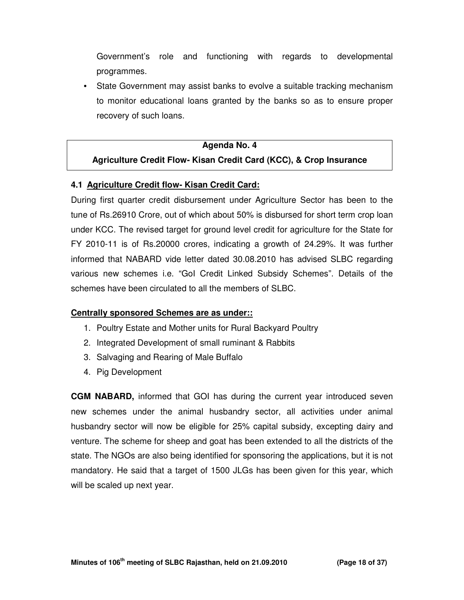Government's role and functioning with regards to developmental programmes.

• State Government may assist banks to evolve a suitable tracking mechanism to monitor educational loans granted by the banks so as to ensure proper recovery of such loans.

#### **Agenda No. 4**

#### **Agriculture Credit Flow- Kisan Credit Card (KCC), & Crop Insurance**

#### **4.1 Agriculture Credit flow- Kisan Credit Card:**

During first quarter credit disbursement under Agriculture Sector has been to the tune of Rs.26910 Crore, out of which about 50% is disbursed for short term crop loan under KCC. The revised target for ground level credit for agriculture for the State for FY 2010-11 is of Rs.20000 crores, indicating a growth of 24.29%. It was further informed that NABARD vide letter dated 30.08.2010 has advised SLBC regarding various new schemes i.e. "GoI Credit Linked Subsidy Schemes". Details of the schemes have been circulated to all the members of SLBC.

#### **Centrally sponsored Schemes are as under::**

- 1. Poultry Estate and Mother units for Rural Backyard Poultry
- 2. Integrated Development of small ruminant & Rabbits
- 3. Salvaging and Rearing of Male Buffalo
- 4. Pig Development

**CGM NABARD,** informed that GOI has during the current year introduced seven new schemes under the animal husbandry sector, all activities under animal husbandry sector will now be eligible for 25% capital subsidy, excepting dairy and venture. The scheme for sheep and goat has been extended to all the districts of the state. The NGOs are also being identified for sponsoring the applications, but it is not mandatory. He said that a target of 1500 JLGs has been given for this year, which will be scaled up next year.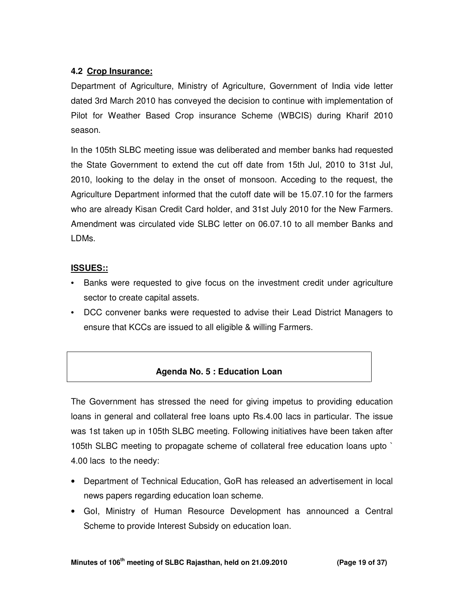# **4.2 Crop Insurance:**

Department of Agriculture, Ministry of Agriculture, Government of India vide letter dated 3rd March 2010 has conveyed the decision to continue with implementation of Pilot for Weather Based Crop insurance Scheme (WBCIS) during Kharif 2010 season.

In the 105th SLBC meeting issue was deliberated and member banks had requested the State Government to extend the cut off date from 15th Jul, 2010 to 31st Jul, 2010, looking to the delay in the onset of monsoon. Acceding to the request, the Agriculture Department informed that the cutoff date will be 15.07.10 for the farmers who are already Kisan Credit Card holder, and 31st July 2010 for the New Farmers. Amendment was circulated vide SLBC letter on 06.07.10 to all member Banks and LDMs.

## **ISSUES::**

- Banks were requested to give focus on the investment credit under agriculture sector to create capital assets.
- DCC convener banks were requested to advise their Lead District Managers to ensure that KCCs are issued to all eligible & willing Farmers.

## **Agenda No. 5 : Education Loan**

The Government has stressed the need for giving impetus to providing education loans in general and collateral free loans upto Rs.4.00 lacs in particular. The issue was 1st taken up in 105th SLBC meeting. Following initiatives have been taken after 105th SLBC meeting to propagate scheme of collateral free education loans upto ` 4.00 lacs to the needy:

- Department of Technical Education, GoR has released an advertisement in local news papers regarding education loan scheme.
- GoI, Ministry of Human Resource Development has announced a Central Scheme to provide Interest Subsidy on education loan.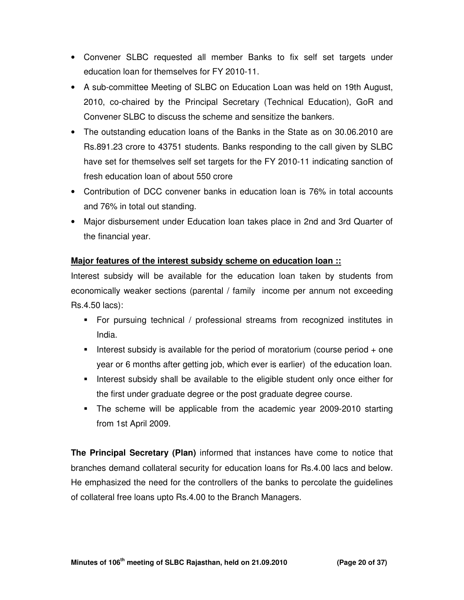- Convener SLBC requested all member Banks to fix self set targets under education loan for themselves for FY 2010-11.
- A sub-committee Meeting of SLBC on Education Loan was held on 19th August, 2010, co-chaired by the Principal Secretary (Technical Education), GoR and Convener SLBC to discuss the scheme and sensitize the bankers.
- The outstanding education loans of the Banks in the State as on 30.06.2010 are Rs.891.23 crore to 43751 students. Banks responding to the call given by SLBC have set for themselves self set targets for the FY 2010-11 indicating sanction of fresh education loan of about 550 crore
- Contribution of DCC convener banks in education loan is 76% in total accounts and 76% in total out standing.
- Major disbursement under Education loan takes place in 2nd and 3rd Quarter of the financial year.

# **Major features of the interest subsidy scheme on education loan ::**

Interest subsidy will be available for the education loan taken by students from economically weaker sections (parental / family income per annum not exceeding Rs.4.50 lacs):

- For pursuing technical / professional streams from recognized institutes in India.
- **Interest subsidy is available for the period of moratorium (course period + one** year or 6 months after getting job, which ever is earlier) of the education loan.
- Interest subsidy shall be available to the eligible student only once either for the first under graduate degree or the post graduate degree course.
- The scheme will be applicable from the academic year 2009-2010 starting from 1st April 2009.

**The Principal Secretary (Plan)** informed that instances have come to notice that branches demand collateral security for education loans for Rs.4.00 lacs and below. He emphasized the need for the controllers of the banks to percolate the guidelines of collateral free loans upto Rs.4.00 to the Branch Managers.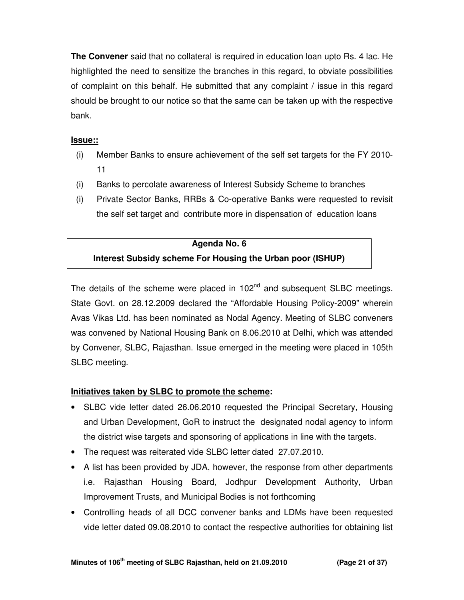**The Convener** said that no collateral is required in education loan upto Rs. 4 lac. He highlighted the need to sensitize the branches in this regard, to obviate possibilities of complaint on this behalf. He submitted that any complaint / issue in this regard should be brought to our notice so that the same can be taken up with the respective bank.

## **Issue::**

- (i) Member Banks to ensure achievement of the self set targets for the FY 2010- 11
- (i) Banks to percolate awareness of Interest Subsidy Scheme to branches
- (i) Private Sector Banks, RRBs & Co-operative Banks were requested to revisit the self set target and contribute more in dispensation of education loans

#### **Agenda No. 6**

# **Interest Subsidy scheme For Housing the Urban poor (ISHUP)**

The details of the scheme were placed in  $102<sup>nd</sup>$  and subsequent SLBC meetings. State Govt. on 28.12.2009 declared the "Affordable Housing Policy-2009" wherein Avas Vikas Ltd. has been nominated as Nodal Agency. Meeting of SLBC conveners was convened by National Housing Bank on 8.06.2010 at Delhi, which was attended by Convener, SLBC, Rajasthan. Issue emerged in the meeting were placed in 105th SLBC meeting.

## **Initiatives taken by SLBC to promote the scheme:**

- SLBC vide letter dated 26.06.2010 requested the Principal Secretary, Housing and Urban Development, GoR to instruct the designated nodal agency to inform the district wise targets and sponsoring of applications in line with the targets.
- The request was reiterated vide SLBC letter dated 27.07.2010.
- A list has been provided by JDA, however, the response from other departments i.e. Rajasthan Housing Board, Jodhpur Development Authority, Urban Improvement Trusts, and Municipal Bodies is not forthcoming
- Controlling heads of all DCC convener banks and LDMs have been requested vide letter dated 09.08.2010 to contact the respective authorities for obtaining list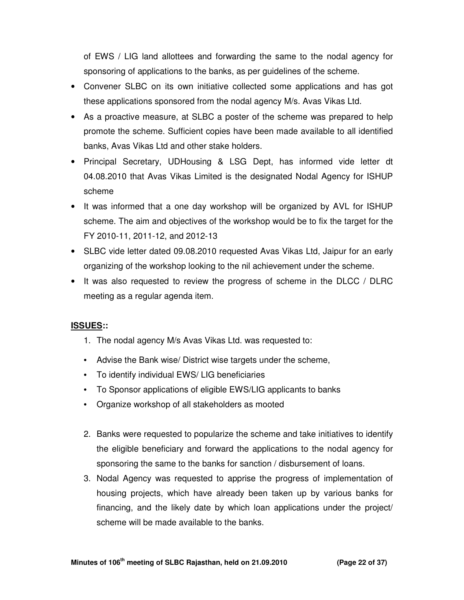of EWS / LIG land allottees and forwarding the same to the nodal agency for sponsoring of applications to the banks, as per guidelines of the scheme.

- Convener SLBC on its own initiative collected some applications and has got these applications sponsored from the nodal agency M/s. Avas Vikas Ltd.
- As a proactive measure, at SLBC a poster of the scheme was prepared to help promote the scheme. Sufficient copies have been made available to all identified banks, Avas Vikas Ltd and other stake holders.
- Principal Secretary, UDHousing & LSG Dept, has informed vide letter dt 04.08.2010 that Avas Vikas Limited is the designated Nodal Agency for ISHUP scheme
- It was informed that a one day workshop will be organized by AVL for ISHUP scheme. The aim and objectives of the workshop would be to fix the target for the FY 2010-11, 2011-12, and 2012-13
- SLBC vide letter dated 09.08.2010 requested Avas Vikas Ltd, Jaipur for an early organizing of the workshop looking to the nil achievement under the scheme.
- It was also requested to review the progress of scheme in the DLCC / DLRC meeting as a regular agenda item.

## **ISSUES::**

- 1. The nodal agency M/s Avas Vikas Ltd. was requested to:
- Advise the Bank wise/ District wise targets under the scheme,
- To identify individual EWS/ LIG beneficiaries
- To Sponsor applications of eligible EWS/LIG applicants to banks
- Organize workshop of all stakeholders as mooted
- 2. Banks were requested to popularize the scheme and take initiatives to identify the eligible beneficiary and forward the applications to the nodal agency for sponsoring the same to the banks for sanction / disbursement of loans.
- 3. Nodal Agency was requested to apprise the progress of implementation of housing projects, which have already been taken up by various banks for financing, and the likely date by which loan applications under the project/ scheme will be made available to the banks.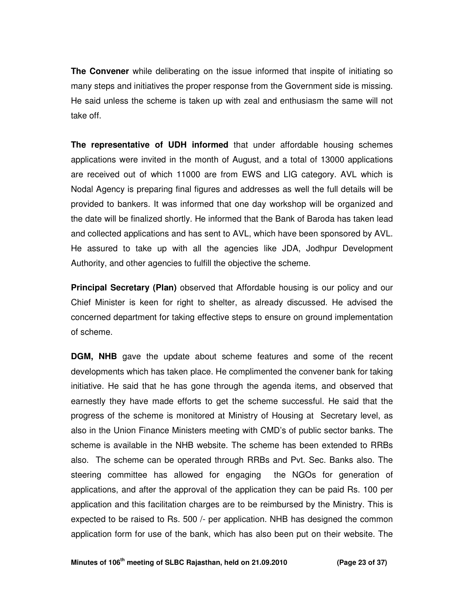**The Convener** while deliberating on the issue informed that inspite of initiating so many steps and initiatives the proper response from the Government side is missing. He said unless the scheme is taken up with zeal and enthusiasm the same will not take off.

**The representative of UDH informed** that under affordable housing schemes applications were invited in the month of August, and a total of 13000 applications are received out of which 11000 are from EWS and LIG category. AVL which is Nodal Agency is preparing final figures and addresses as well the full details will be provided to bankers. It was informed that one day workshop will be organized and the date will be finalized shortly. He informed that the Bank of Baroda has taken lead and collected applications and has sent to AVL, which have been sponsored by AVL. He assured to take up with all the agencies like JDA, Jodhpur Development Authority, and other agencies to fulfill the objective the scheme.

**Principal Secretary (Plan)** observed that Affordable housing is our policy and our Chief Minister is keen for right to shelter, as already discussed. He advised the concerned department for taking effective steps to ensure on ground implementation of scheme.

**DGM, NHB** gave the update about scheme features and some of the recent developments which has taken place. He complimented the convener bank for taking initiative. He said that he has gone through the agenda items, and observed that earnestly they have made efforts to get the scheme successful. He said that the progress of the scheme is monitored at Ministry of Housing at Secretary level, as also in the Union Finance Ministers meeting with CMD's of public sector banks. The scheme is available in the NHB website. The scheme has been extended to RRBs also. The scheme can be operated through RRBs and Pvt. Sec. Banks also. The steering committee has allowed for engaging the NGOs for generation of applications, and after the approval of the application they can be paid Rs. 100 per application and this facilitation charges are to be reimbursed by the Ministry. This is expected to be raised to Rs. 500 /- per application. NHB has designed the common application form for use of the bank, which has also been put on their website. The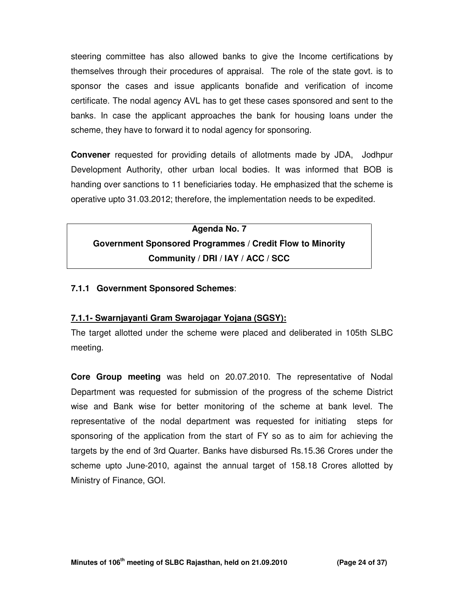steering committee has also allowed banks to give the Income certifications by themselves through their procedures of appraisal. The role of the state govt. is to sponsor the cases and issue applicants bonafide and verification of income certificate. The nodal agency AVL has to get these cases sponsored and sent to the banks. In case the applicant approaches the bank for housing loans under the scheme, they have to forward it to nodal agency for sponsoring.

**Convener** requested for providing details of allotments made by JDA, Jodhpur Development Authority, other urban local bodies. It was informed that BOB is handing over sanctions to 11 beneficiaries today. He emphasized that the scheme is operative upto 31.03.2012; therefore, the implementation needs to be expedited.

# **Agenda No. 7 Government Sponsored Programmes / Credit Flow to Minority Community / DRI / IAY / ACC / SCC**

#### **7.1.1 Government Sponsored Schemes**:

## **7.1.1- Swarnjayanti Gram Swarojagar Yojana (SGSY):**

The target allotted under the scheme were placed and deliberated in 105th SLBC meeting.

**Core Group meeting** was held on 20.07.2010. The representative of Nodal Department was requested for submission of the progress of the scheme District wise and Bank wise for better monitoring of the scheme at bank level. The representative of the nodal department was requested for initiating steps for sponsoring of the application from the start of FY so as to aim for achieving the targets by the end of 3rd Quarter. Banks have disbursed Rs.15.36 Crores under the scheme upto June-2010, against the annual target of 158.18 Crores allotted by Ministry of Finance, GOI.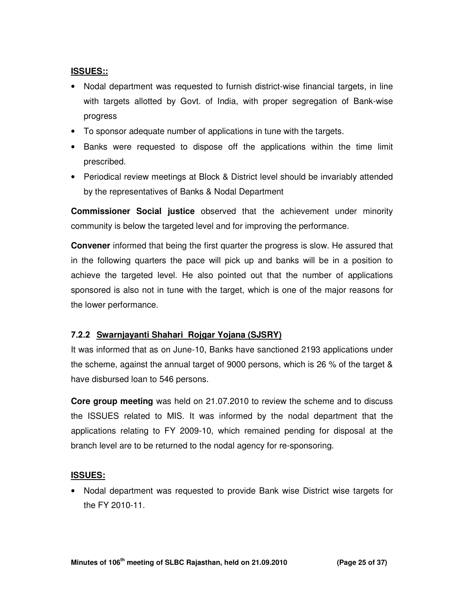#### **ISSUES::**

- Nodal department was requested to furnish district-wise financial targets, in line with targets allotted by Govt. of India, with proper segregation of Bank-wise progress
- To sponsor adequate number of applications in tune with the targets.
- Banks were requested to dispose off the applications within the time limit prescribed.
- Periodical review meetings at Block & District level should be invariably attended by the representatives of Banks & Nodal Department

**Commissioner Social justice** observed that the achievement under minority community is below the targeted level and for improving the performance.

**Convener** informed that being the first quarter the progress is slow. He assured that in the following quarters the pace will pick up and banks will be in a position to achieve the targeted level. He also pointed out that the number of applications sponsored is also not in tune with the target, which is one of the major reasons for the lower performance.

## 7.2.2 **Swarnjayanti Shahari Rojgar Yojana (SJSRY)**

It was informed that as on June-10, Banks have sanctioned 2193 applications under the scheme, against the annual target of 9000 persons, which is 26 % of the target & have disbursed loan to 546 persons.

**Core group meeting** was held on 21.07.2010 to review the scheme and to discuss the ISSUES related to MIS. It was informed by the nodal department that the applications relating to FY 2009-10, which remained pending for disposal at the branch level are to be returned to the nodal agency for re-sponsoring.

## **ISSUES:**

• Nodal department was requested to provide Bank wise District wise targets for the FY 2010-11.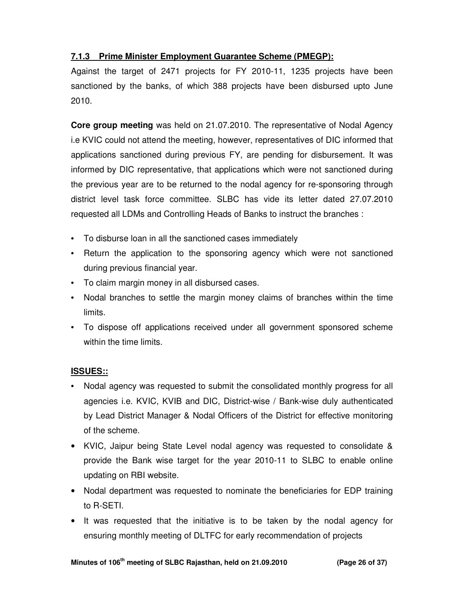# **7.1.3 Prime Minister Employment Guarantee Scheme (PMEGP):**

Against the target of 2471 projects for FY 2010-11, 1235 projects have been sanctioned by the banks, of which 388 projects have been disbursed upto June 2010.

**Core group meeting** was held on 21.07.2010. The representative of Nodal Agency i.e KVIC could not attend the meeting, however, representatives of DIC informed that applications sanctioned during previous FY, are pending for disbursement. It was informed by DIC representative, that applications which were not sanctioned during the previous year are to be returned to the nodal agency for re-sponsoring through district level task force committee. SLBC has vide its letter dated 27.07.2010 requested all LDMs and Controlling Heads of Banks to instruct the branches :

- To disburse loan in all the sanctioned cases immediately
- Return the application to the sponsoring agency which were not sanctioned during previous financial year.
- To claim margin money in all disbursed cases.
- Nodal branches to settle the margin money claims of branches within the time limits.
- To dispose off applications received under all government sponsored scheme within the time limits.

## **ISSUES::**

- Nodal agency was requested to submit the consolidated monthly progress for all agencies i.e. KVIC, KVIB and DIC, District-wise / Bank-wise duly authenticated by Lead District Manager & Nodal Officers of the District for effective monitoring of the scheme.
- KVIC, Jaipur being State Level nodal agency was requested to consolidate & provide the Bank wise target for the year 2010-11 to SLBC to enable online updating on RBI website.
- Nodal department was requested to nominate the beneficiaries for EDP training to R-SETI.
- It was requested that the initiative is to be taken by the nodal agency for ensuring monthly meeting of DLTFC for early recommendation of projects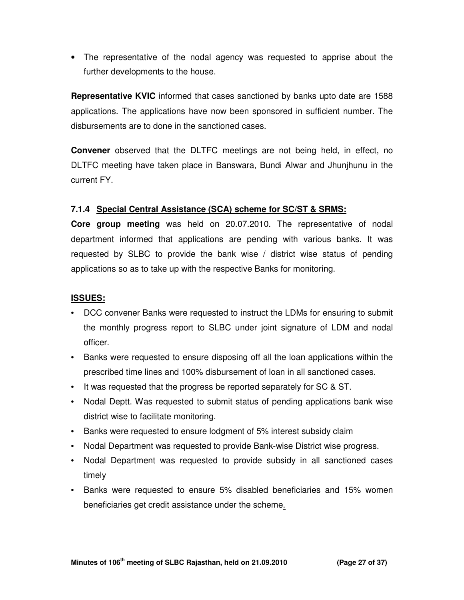• The representative of the nodal agency was requested to apprise about the further developments to the house.

**Representative KVIC** informed that cases sanctioned by banks upto date are 1588 applications. The applications have now been sponsored in sufficient number. The disbursements are to done in the sanctioned cases.

**Convener** observed that the DLTFC meetings are not being held, in effect, no DLTFC meeting have taken place in Banswara, Bundi Alwar and Jhunjhunu in the current FY.

#### **7.1.4 Special Central Assistance (SCA) scheme for SC/ST & SRMS:**

**Core group meeting** was held on 20.07.2010. The representative of nodal department informed that applications are pending with various banks. It was requested by SLBC to provide the bank wise / district wise status of pending applications so as to take up with the respective Banks for monitoring.

#### **ISSUES:**

- DCC convener Banks were requested to instruct the LDMs for ensuring to submit the monthly progress report to SLBC under joint signature of LDM and nodal officer.
- Banks were requested to ensure disposing off all the loan applications within the prescribed time lines and 100% disbursement of loan in all sanctioned cases.
- It was requested that the progress be reported separately for SC & ST.
- Nodal Deptt. Was requested to submit status of pending applications bank wise district wise to facilitate monitoring.
- Banks were requested to ensure lodgment of 5% interest subsidy claim
- Nodal Department was requested to provide Bank-wise District wise progress.
- Nodal Department was requested to provide subsidy in all sanctioned cases timely
- Banks were requested to ensure 5% disabled beneficiaries and 15% women beneficiaries get credit assistance under the scheme.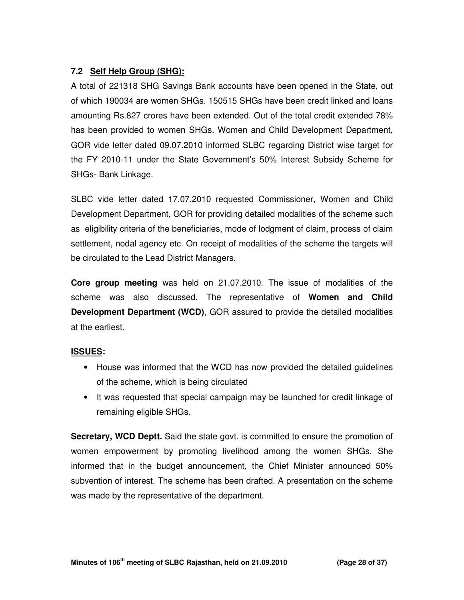# **7.2 Self Help Group (SHG):**

A total of 221318 SHG Savings Bank accounts have been opened in the State, out of which 190034 are women SHGs. 150515 SHGs have been credit linked and loans amounting Rs.827 crores have been extended. Out of the total credit extended 78% has been provided to women SHGs. Women and Child Development Department, GOR vide letter dated 09.07.2010 informed SLBC regarding District wise target for the FY 2010-11 under the State Government's 50% Interest Subsidy Scheme for SHGs- Bank Linkage.

SLBC vide letter dated 17.07.2010 requested Commissioner, Women and Child Development Department, GOR for providing detailed modalities of the scheme such as eligibility criteria of the beneficiaries, mode of lodgment of claim, process of claim settlement, nodal agency etc. On receipt of modalities of the scheme the targets will be circulated to the Lead District Managers.

**Core group meeting** was held on 21.07.2010. The issue of modalities of the scheme was also discussed. The representative of **Women and Child Development Department (WCD)**, GOR assured to provide the detailed modalities at the earliest.

## **ISSUES:**

- House was informed that the WCD has now provided the detailed guidelines of the scheme, which is being circulated
- It was requested that special campaign may be launched for credit linkage of remaining eligible SHGs.

**Secretary, WCD Deptt.** Said the state govt. is committed to ensure the promotion of women empowerment by promoting livelihood among the women SHGs. She informed that in the budget announcement, the Chief Minister announced 50% subvention of interest. The scheme has been drafted. A presentation on the scheme was made by the representative of the department.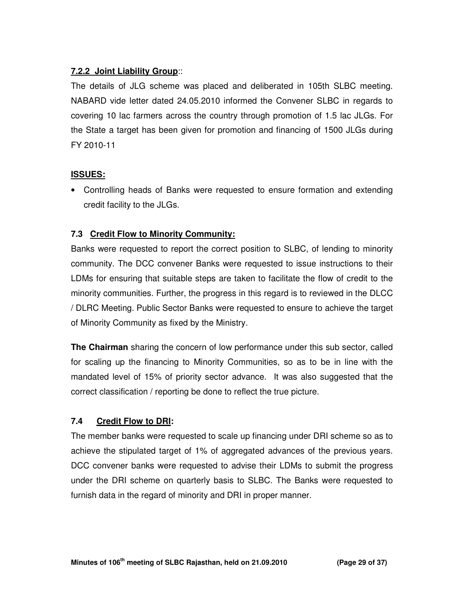# **7.2.2 Joint Liability Group**::

The details of JLG scheme was placed and deliberated in 105th SLBC meeting. NABARD vide letter dated 24.05.2010 informed the Convener SLBC in regards to covering 10 lac farmers across the country through promotion of 1.5 lac JLGs. For the State a target has been given for promotion and financing of 1500 JLGs during FY 2010-11

## **ISSUES:**

• Controlling heads of Banks were requested to ensure formation and extending credit facility to the JLGs.

# **7.3 Credit Flow to Minority Community:**

Banks were requested to report the correct position to SLBC, of lending to minority community. The DCC convener Banks were requested to issue instructions to their LDMs for ensuring that suitable steps are taken to facilitate the flow of credit to the minority communities. Further, the progress in this regard is to reviewed in the DLCC / DLRC Meeting. Public Sector Banks were requested to ensure to achieve the target of Minority Community as fixed by the Ministry.

**The Chairman** sharing the concern of low performance under this sub sector, called for scaling up the financing to Minority Communities, so as to be in line with the mandated level of 15% of priority sector advance. It was also suggested that the correct classification / reporting be done to reflect the true picture.

# **7.4 Credit Flow to DRI:**

The member banks were requested to scale up financing under DRI scheme so as to achieve the stipulated target of 1% of aggregated advances of the previous years. DCC convener banks were requested to advise their LDMs to submit the progress under the DRI scheme on quarterly basis to SLBC. The Banks were requested to furnish data in the regard of minority and DRI in proper manner.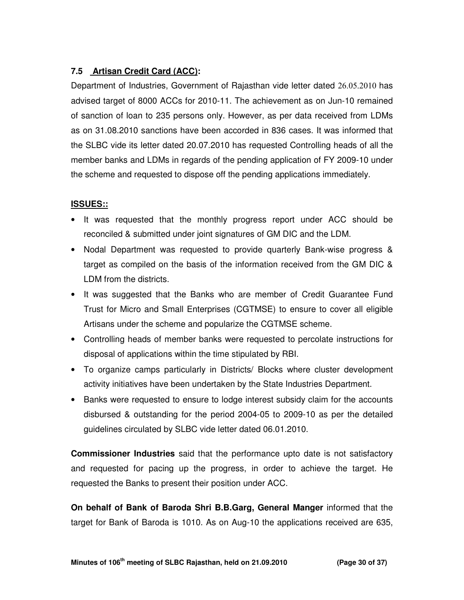# **7.5 Artisan Credit Card (ACC):**

Department of Industries, Government of Rajasthan vide letter dated 26.05.2010 has advised target of 8000 ACCs for 2010-11. The achievement as on Jun-10 remained of sanction of loan to 235 persons only. However, as per data received from LDMs as on 31.08.2010 sanctions have been accorded in 836 cases. It was informed that the SLBC vide its letter dated 20.07.2010 has requested Controlling heads of all the member banks and LDMs in regards of the pending application of FY 2009-10 under the scheme and requested to dispose off the pending applications immediately.

# **ISSUES::**

- It was requested that the monthly progress report under ACC should be reconciled & submitted under joint signatures of GM DIC and the LDM.
- Nodal Department was requested to provide quarterly Bank-wise progress & target as compiled on the basis of the information received from the GM DIC & LDM from the districts.
- It was suggested that the Banks who are member of Credit Guarantee Fund Trust for Micro and Small Enterprises (CGTMSE) to ensure to cover all eligible Artisans under the scheme and popularize the CGTMSE scheme.
- Controlling heads of member banks were requested to percolate instructions for disposal of applications within the time stipulated by RBI.
- To organize camps particularly in Districts/ Blocks where cluster development activity initiatives have been undertaken by the State Industries Department.
- Banks were requested to ensure to lodge interest subsidy claim for the accounts disbursed & outstanding for the period 2004-05 to 2009-10 as per the detailed guidelines circulated by SLBC vide letter dated 06.01.2010.

**Commissioner Industries** said that the performance upto date is not satisfactory and requested for pacing up the progress, in order to achieve the target. He requested the Banks to present their position under ACC.

**On behalf of Bank of Baroda Shri B.B.Garg, General Manger** informed that the target for Bank of Baroda is 1010. As on Aug-10 the applications received are 635,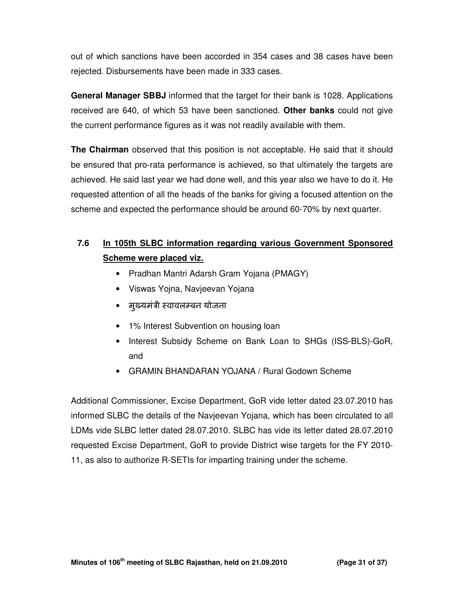out of which sanctions have been accorded in 354 cases and 38 cases have been rejected. Disbursements have been made in 333 cases.

**General Manager SBBJ** informed that the target for their bank is 1028. Applications received are 640, of which 53 have been sanctioned. **Other banks** could not give the current performance figures as it was not readily available with them.

**The Chairman** observed that this position is not acceptable. He said that it should be ensured that pro-rata performance is achieved, so that ultimately the targets are achieved. He said last year we had done well, and this year also we have to do it. He requested attention of all the heads of the banks for giving a focused attention on the scheme and expected the performance should be around 60-70% by next quarter.

# **7.6 In 105th SLBC information regarding various Government Sponsored Scheme were placed viz.**

- Pradhan Mantri Adarsh Gram Yojana (PMAGY)
- Viswas Yojna, Navjeevan Yojana
- मुख्यमंत्री स्वावलम्बन योजना
- 1% Interest Subvention on housing loan
- Interest Subsidy Scheme on Bank Loan to SHGs (ISS-BLS)-GoR, and
- GRAMIN BHANDARAN YOJANA / Rural Godown Scheme

Additional Commissioner, Excise Department, GoR vide letter dated 23.07.2010 has informed SLBC the details of the Navjeevan Yojana, which has been circulated to all LDMs vide SLBC letter dated 28.07.2010. SLBC has vide its letter dated 28.07.2010 requested Excise Department, GoR to provide District wise targets for the FY 2010- 11, as also to authorize R-SETIs for imparting training under the scheme.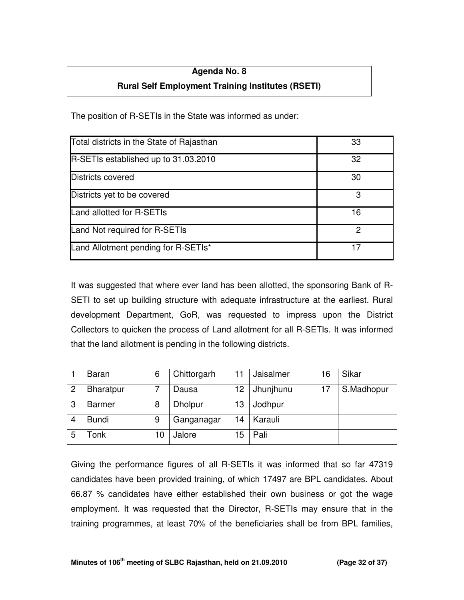## **Agenda No. 8**

# **Rural Self Employment Training Institutes (RSETI)**

The position of R-SETIs in the State was informed as under:

| Total districts in the State of Rajasthan | 33 |
|-------------------------------------------|----|
| R-SETIs established up to 31.03.2010      | 32 |
| Districts covered                         | 30 |
| Districts yet to be covered               | 3  |
| Land allotted for R-SETIs                 | 16 |
| Land Not required for R-SETIs             | 2  |
| Land Allotment pending for R-SETIs*       | 17 |

It was suggested that where ever land has been allotted, the sponsoring Bank of R-SETI to set up building structure with adequate infrastructure at the earliest. Rural development Department, GoR, was requested to impress upon the District Collectors to quicken the process of Land allotment for all R-SETIs. It was informed that the land allotment is pending in the following districts.

|                | <b>Baran</b>     | 6  | Chittorgarh    |    | Jaisalmer | 16 | Sikar      |
|----------------|------------------|----|----------------|----|-----------|----|------------|
| $\overline{2}$ | <b>Bharatpur</b> |    | Dausa          | 12 | Jhunjhunu | 17 | S.Madhopur |
| 3              | <b>Barmer</b>    | 8  | <b>Dholpur</b> | 13 | Jodhpur   |    |            |
|                | <b>Bundi</b>     | 9  | Ganganagar     | 14 | Karauli   |    |            |
| 5              | Гonk             | 10 | Jalore         | 5  | Pali      |    |            |

Giving the performance figures of all R-SETIs it was informed that so far 47319 candidates have been provided training, of which 17497 are BPL candidates. About 66.87 % candidates have either established their own business or got the wage employment. It was requested that the Director, R-SETIs may ensure that in the training programmes, at least 70% of the beneficiaries shall be from BPL families,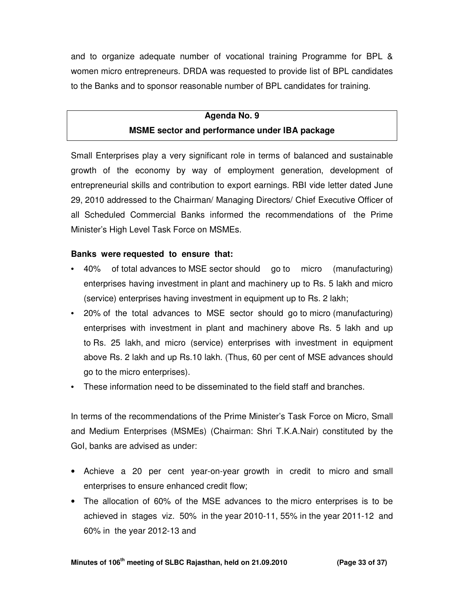and to organize adequate number of vocational training Programme for BPL & women micro entrepreneurs. DRDA was requested to provide list of BPL candidates to the Banks and to sponsor reasonable number of BPL candidates for training.

# **Agenda No. 9 MSME sector and performance under IBA package**

Small Enterprises play a very significant role in terms of balanced and sustainable growth of the economy by way of employment generation, development of entrepreneurial skills and contribution to export earnings. RBI vide letter dated June 29, 2010 addressed to the Chairman/ Managing Directors/ Chief Executive Officer of all Scheduled Commercial Banks informed the recommendations of the Prime Minister's High Level Task Force on MSMEs.

## **Banks were requested to ensure that:**

- 40% of total advances to MSE sector should go to micro (manufacturing) enterprises having investment in plant and machinery up to Rs. 5 lakh and micro (service) enterprises having investment in equipment up to Rs. 2 lakh;
- 20% of the total advances to MSE sector should go to micro (manufacturing) enterprises with investment in plant and machinery above Rs. 5 lakh and up to Rs. 25 lakh, and micro (service) enterprises with investment in equipment above Rs. 2 lakh and up Rs.10 lakh. (Thus, 60 per cent of MSE advances should go to the micro enterprises).
- These information need to be disseminated to the field staff and branches.

In terms of the recommendations of the Prime Minister's Task Force on Micro, Small and Medium Enterprises (MSMEs) (Chairman: Shri T.K.A.Nair) constituted by the GoI, banks are advised as under:

- Achieve a 20 per cent year-on-year growth in credit to micro and small enterprises to ensure enhanced credit flow;
- The allocation of 60% of the MSE advances to the micro enterprises is to be achieved in stages viz. 50% in the year 2010-11, 55% in the year 2011-12 and 60% in the year 2012-13 and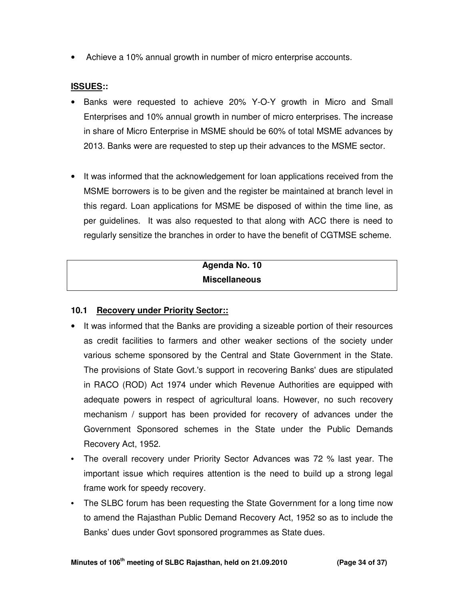• Achieve a 10% annual growth in number of micro enterprise accounts.

### **ISSUES::**

- Banks were requested to achieve 20% Y-O-Y growth in Micro and Small Enterprises and 10% annual growth in number of micro enterprises. The increase in share of Micro Enterprise in MSME should be 60% of total MSME advances by 2013. Banks were are requested to step up their advances to the MSME sector.
- It was informed that the acknowledgement for loan applications received from the MSME borrowers is to be given and the register be maintained at branch level in this regard. Loan applications for MSME be disposed of within the time line, as per guidelines. It was also requested to that along with ACC there is need to regularly sensitize the branches in order to have the benefit of CGTMSE scheme.

# **Agenda No. 10 Miscellaneous**

## **10.1 Recovery under Priority Sector::**

- It was informed that the Banks are providing a sizeable portion of their resources as credit facilities to farmers and other weaker sections of the society under various scheme sponsored by the Central and State Government in the State. The provisions of State Govt.'s support in recovering Banks' dues are stipulated in RACO (ROD) Act 1974 under which Revenue Authorities are equipped with adequate powers in respect of agricultural loans. However, no such recovery mechanism / support has been provided for recovery of advances under the Government Sponsored schemes in the State under the Public Demands Recovery Act, 1952.
- The overall recovery under Priority Sector Advances was 72 % last year. The important issue which requires attention is the need to build up a strong legal frame work for speedy recovery.
- The SLBC forum has been requesting the State Government for a long time now to amend the Rajasthan Public Demand Recovery Act, 1952 so as to include the Banks' dues under Govt sponsored programmes as State dues.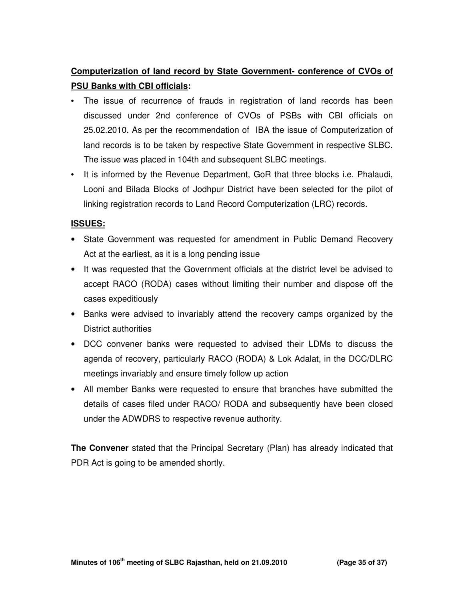# **Computerization of land record by State Government- conference of CVOs of PSU Banks with CBI officials:**

- The issue of recurrence of frauds in registration of land records has been discussed under 2nd conference of CVOs of PSBs with CBI officials on 25.02.2010. As per the recommendation of IBA the issue of Computerization of land records is to be taken by respective State Government in respective SLBC. The issue was placed in 104th and subsequent SLBC meetings.
- It is informed by the Revenue Department, GoR that three blocks i.e. Phalaudi, Looni and Bilada Blocks of Jodhpur District have been selected for the pilot of linking registration records to Land Record Computerization (LRC) records.

#### **ISSUES:**

- State Government was requested for amendment in Public Demand Recovery Act at the earliest, as it is a long pending issue
- It was requested that the Government officials at the district level be advised to accept RACO (RODA) cases without limiting their number and dispose off the cases expeditiously
- Banks were advised to invariably attend the recovery camps organized by the District authorities
- DCC convener banks were requested to advised their LDMs to discuss the agenda of recovery, particularly RACO (RODA) & Lok Adalat, in the DCC/DLRC meetings invariably and ensure timely follow up action
- All member Banks were requested to ensure that branches have submitted the details of cases filed under RACO/ RODA and subsequently have been closed under the ADWDRS to respective revenue authority.

**The Convener** stated that the Principal Secretary (Plan) has already indicated that PDR Act is going to be amended shortly.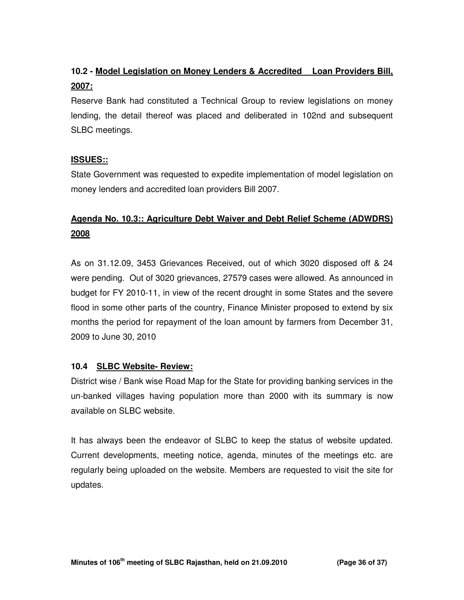# **10.2 - Model Legislation on Money Lenders & Accredited Loan Providers Bill, 2007:**

Reserve Bank had constituted a Technical Group to review legislations on money lending, the detail thereof was placed and deliberated in 102nd and subsequent SLBC meetings.

## **ISSUES::**

State Government was requested to expedite implementation of model legislation on money lenders and accredited loan providers Bill 2007.

# **Agenda No. 10.3:: Agriculture Debt Waiver and Debt Relief Scheme (ADWDRS) 2008**

As on 31.12.09, 3453 Grievances Received, out of which 3020 disposed off & 24 were pending. Out of 3020 grievances, 27579 cases were allowed. As announced in budget for FY 2010-11, in view of the recent drought in some States and the severe flood in some other parts of the country, Finance Minister proposed to extend by six months the period for repayment of the loan amount by farmers from December 31, 2009 to June 30, 2010

## **10.4 SLBC Website- Review:**

District wise / Bank wise Road Map for the State for providing banking services in the un-banked villages having population more than 2000 with its summary is now available on SLBC website.

It has always been the endeavor of SLBC to keep the status of website updated. Current developments, meeting notice, agenda, minutes of the meetings etc. are regularly being uploaded on the website. Members are requested to visit the site for updates.